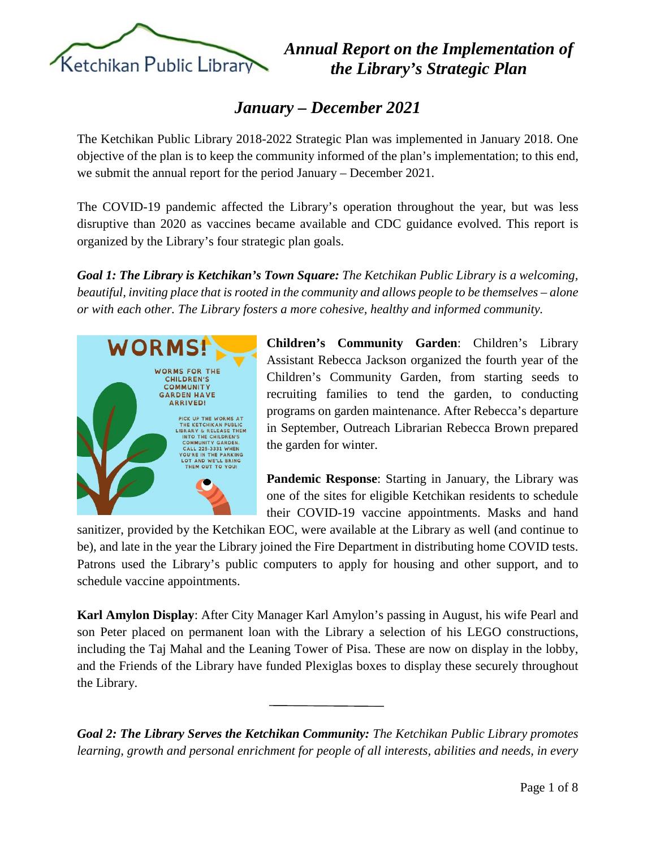

## *January – December 2021*

The Ketchikan Public Library 2018-2022 Strategic Plan was implemented in January 2018. One objective of the plan is to keep the community informed of the plan's implementation; to this end, we submit the annual report for the period January – December 2021.

The COVID-19 pandemic affected the Library's operation throughout the year, but was less disruptive than 2020 as vaccines became available and CDC guidance evolved. This report is organized by the Library's four strategic plan goals.

*Goal 1: The Library is Ketchikan's Town Square: The Ketchikan Public Library is a welcoming, beautiful, inviting place that is rooted in the community and allows people to be themselves – alone or with each other. The Library fosters a more cohesive, healthy and informed community.*



**Children's Community Garden**: Children's Library Assistant Rebecca Jackson organized the fourth year of the Children's Community Garden, from starting seeds to recruiting families to tend the garden, to conducting programs on garden maintenance. After Rebecca's departure in September, Outreach Librarian Rebecca Brown prepared the garden for winter.

**Pandemic Response**: Starting in January, the Library was one of the sites for eligible Ketchikan residents to schedule their COVID-19 vaccine appointments. Masks and hand

sanitizer, provided by the Ketchikan EOC, were available at the Library as well (and continue to be), and late in the year the Library joined the Fire Department in distributing home COVID tests. Patrons used the Library's public computers to apply for housing and other support, and to schedule vaccine appointments.

**Karl Amylon Display**: After City Manager Karl Amylon's passing in August, his wife Pearl and son Peter placed on permanent loan with the Library a selection of his LEGO constructions, including the Taj Mahal and the Leaning Tower of Pisa. These are now on display in the lobby, and the Friends of the Library have funded Plexiglas boxes to display these securely throughout the Library.

*Goal 2: The Library Serves the Ketchikan Community: The Ketchikan Public Library promotes learning, growth and personal enrichment for people of all interests, abilities and needs, in every*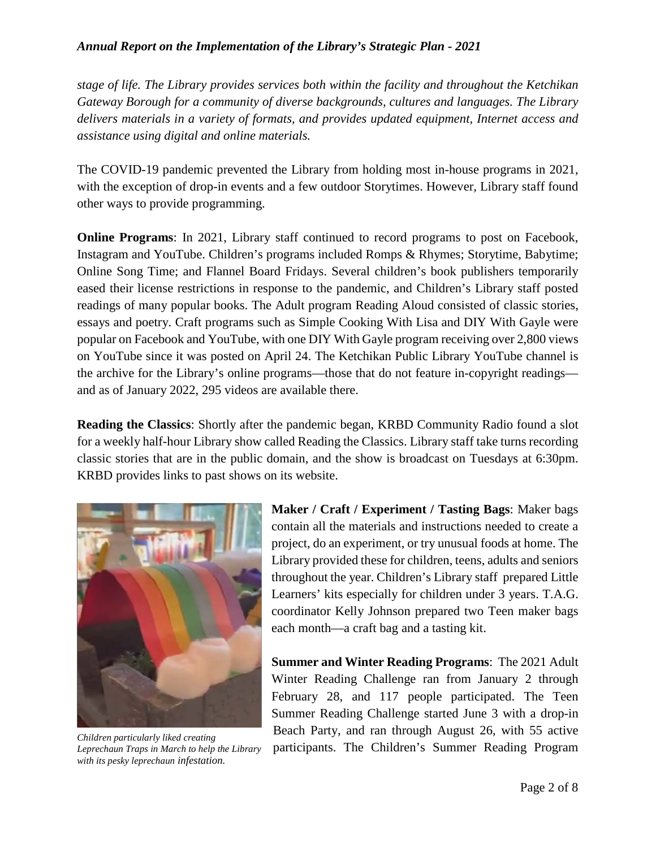*stage of life. The Library provides services both within the facility and throughout the Ketchikan Gateway Borough for a community of diverse backgrounds, cultures and languages. The Library delivers materials in a variety of formats, and provides updated equipment, Internet access and assistance using digital and online materials.*

The COVID-19 pandemic prevented the Library from holding most in-house programs in 2021, with the exception of drop-in events and a few outdoor Storytimes. However, Library staff found other ways to provide programming.

**Online Programs**: In 2021, Library staff continued to record programs to post on Facebook, Instagram and YouTube. Children's programs included Romps & Rhymes; Storytime, Babytime; Online Song Time; and Flannel Board Fridays. Several children's book publishers temporarily eased their license restrictions in response to the pandemic, and Children's Library staff posted readings of many popular books. The Adult program Reading Aloud consisted of classic stories, essays and poetry. Craft programs such as Simple Cooking With Lisa and DIY With Gayle were popular on Facebook and YouTube, with one DIY With Gayle program receiving over 2,800 views on YouTube since it was posted on April 24. The Ketchikan Public Library YouTube channel is the archive for the Library's online programs—those that do not feature in-copyright readings and as of January 2022, 295 videos are available there.

**Reading the Classics**: Shortly after the pandemic began, KRBD Community Radio found a slot for a weekly half-hour Library show called Reading the Classics. Library staff take turns recording classic stories that are in the public domain, and the show is broadcast on Tuesdays at 6:30pm. KRBD provides links to past shows on its website.



*Leprechaun Traps in March to help the Library with its pesky leprechaun infestation.*

**Maker / Craft / Experiment / Tasting Bags**: Maker bags contain all the materials and instructions needed to create a project, do an experiment, or try unusual foods at home. The Library provided these for children, teens, adults and seniors throughout the year. Children's Library staff prepared Little Learners' kits especially for children under 3 years. T.A.G. coordinator Kelly Johnson prepared two Teen maker bags each month—a craft bag and a tasting kit.

**Summer and Winter Reading Programs**: The 2021 Adult Winter Reading Challenge ran from January 2 through February 28, and 117 people participated. The Teen Summer Reading Challenge started June 3 with a drop-in Beach Party, and ran through August 26, with 55 active participants. The Children's Summer Reading Program *Children particularly liked creating*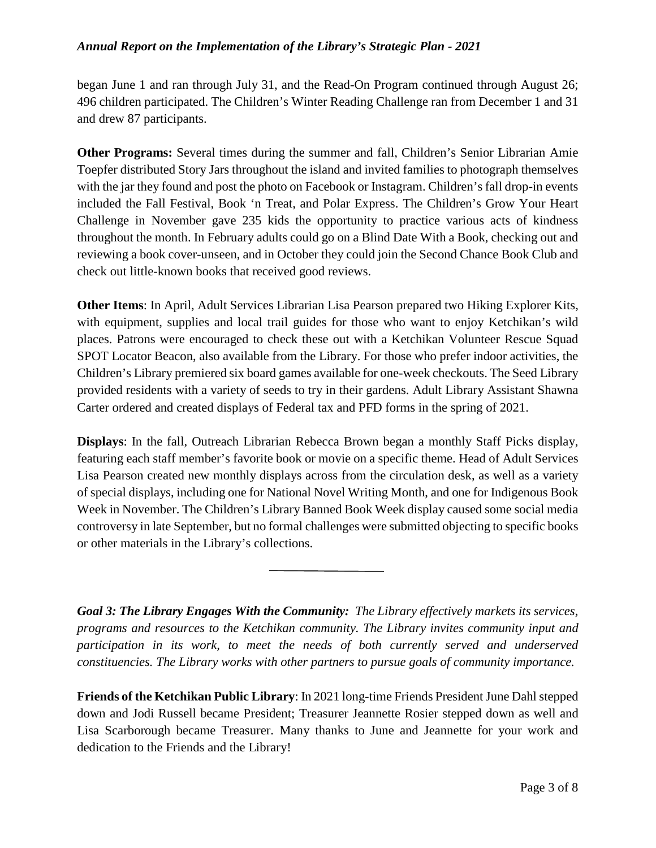began June 1 and ran through July 31, and the Read-On Program continued through August 26; 496 children participated. The Children's Winter Reading Challenge ran from December 1 and 31 and drew 87 participants.

**Other Programs:** Several times during the summer and fall, Children's Senior Librarian Amie Toepfer distributed Story Jars throughout the island and invited families to photograph themselves with the jar they found and post the photo on Facebook or Instagram. Children's fall drop-in events included the Fall Festival, Book 'n Treat, and Polar Express. The Children's Grow Your Heart Challenge in November gave 235 kids the opportunity to practice various acts of kindness throughout the month. In February adults could go on a Blind Date With a Book, checking out and reviewing a book cover-unseen, and in October they could join the Second Chance Book Club and check out little-known books that received good reviews.

**Other Items**: In April, Adult Services Librarian Lisa Pearson prepared two Hiking Explorer Kits, with equipment, supplies and local trail guides for those who want to enjoy Ketchikan's wild places. Patrons were encouraged to check these out with a Ketchikan Volunteer Rescue Squad SPOT Locator Beacon, also available from the Library. For those who prefer indoor activities, the Children's Library premiered six board games available for one-week checkouts. The Seed Library provided residents with a variety of seeds to try in their gardens. Adult Library Assistant Shawna Carter ordered and created displays of Federal tax and PFD forms in the spring of 2021.

**Displays**: In the fall, Outreach Librarian Rebecca Brown began a monthly Staff Picks display, featuring each staff member's favorite book or movie on a specific theme. Head of Adult Services Lisa Pearson created new monthly displays across from the circulation desk, as well as a variety of special displays, including one for National Novel Writing Month, and one for Indigenous Book Week in November. The Children's Library Banned Book Week display caused some social media controversy in late September, but no formal challenges were submitted objecting to specific books or other materials in the Library's collections.

*Goal 3: The Library Engages With the Community: The Library effectively markets its services, programs and resources to the Ketchikan community. The Library invites community input and participation in its work, to meet the needs of both currently served and underserved constituencies. The Library works with other partners to pursue goals of community importance.*

**Friends of the Ketchikan Public Library**: In 2021 long-time Friends President June Dahl stepped down and Jodi Russell became President; Treasurer Jeannette Rosier stepped down as well and Lisa Scarborough became Treasurer. Many thanks to June and Jeannette for your work and dedication to the Friends and the Library!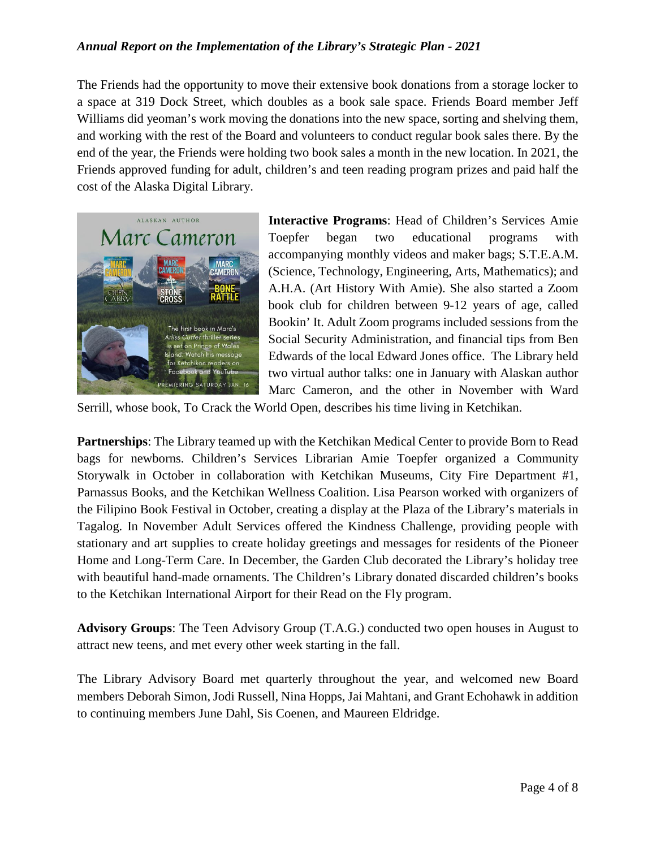The Friends had the opportunity to move their extensive book donations from a storage locker to a space at 319 Dock Street, which doubles as a book sale space. Friends Board member Jeff Williams did yeoman's work moving the donations into the new space, sorting and shelving them, and working with the rest of the Board and volunteers to conduct regular book sales there. By the end of the year, the Friends were holding two book sales a month in the new location. In 2021, the Friends approved funding for adult, children's and teen reading program prizes and paid half the cost of the Alaska Digital Library.



**Interactive Programs**: Head of Children's Services Amie Toepfer began two educational programs with accompanying monthly videos and maker bags; S.T.E.A.M. (Science, Technology, Engineering, Arts, Mathematics); and A.H.A. (Art History With Amie). She also started a Zoom book club for children between 9-12 years of age, called Bookin' It. Adult Zoom programs included sessions from the Social Security Administration, and financial tips from Ben Edwards of the local Edward Jones office. The Library held two virtual author talks: one in January with Alaskan author Marc Cameron, and the other in November with Ward

Serrill, whose book, To Crack the World Open, describes his time living in Ketchikan.

**Partnerships**: The Library teamed up with the Ketchikan Medical Center to provide Born to Read bags for newborns. Children's Services Librarian Amie Toepfer organized a Community Storywalk in October in collaboration with Ketchikan Museums, City Fire Department #1, Parnassus Books, and the Ketchikan Wellness Coalition. Lisa Pearson worked with organizers of the Filipino Book Festival in October, creating a display at the Plaza of the Library's materials in Tagalog. In November Adult Services offered the Kindness Challenge, providing people with stationary and art supplies to create holiday greetings and messages for residents of the Pioneer Home and Long-Term Care. In December, the Garden Club decorated the Library's holiday tree with beautiful hand-made ornaments. The Children's Library donated discarded children's books to the Ketchikan International Airport for their Read on the Fly program.

**Advisory Groups**: The Teen Advisory Group (T.A.G.) conducted two open houses in August to attract new teens, and met every other week starting in the fall.

The Library Advisory Board met quarterly throughout the year, and welcomed new Board members Deborah Simon, Jodi Russell, Nina Hopps, Jai Mahtani, and Grant Echohawk in addition to continuing members June Dahl, Sis Coenen, and Maureen Eldridge.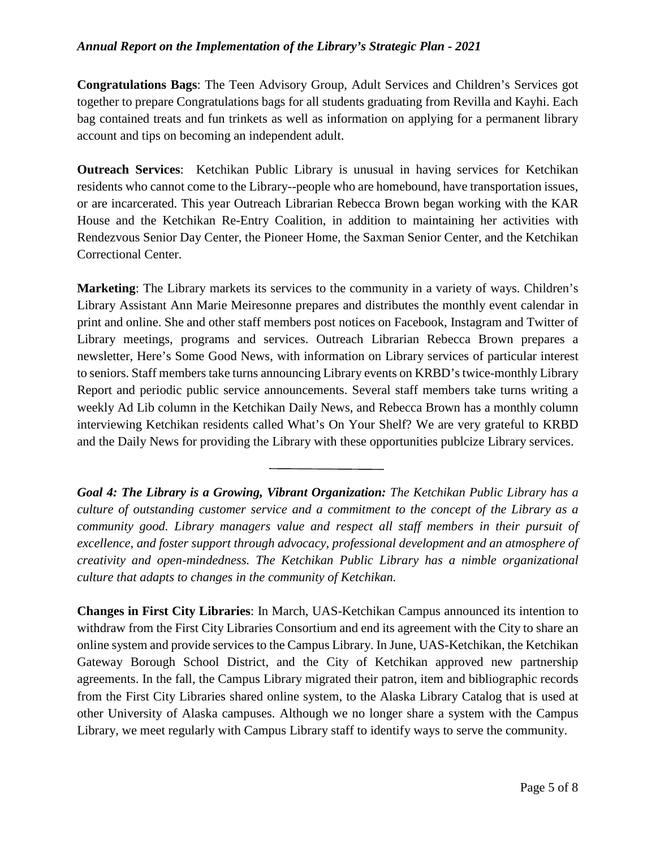**Congratulations Bags**: The Teen Advisory Group, Adult Services and Children's Services got together to prepare Congratulations bags for all students graduating from Revilla and Kayhi. Each bag contained treats and fun trinkets as well as information on applying for a permanent library account and tips on becoming an independent adult.

**Outreach Services**: Ketchikan Public Library is unusual in having services for Ketchikan residents who cannot come to the Library--people who are homebound, have transportation issues, or are incarcerated. This year Outreach Librarian Rebecca Brown began working with the KAR House and the Ketchikan Re-Entry Coalition, in addition to maintaining her activities with Rendezvous Senior Day Center, the Pioneer Home, the Saxman Senior Center, and the Ketchikan Correctional Center.

**Marketing**: The Library markets its services to the community in a variety of ways. Children's Library Assistant Ann Marie Meiresonne prepares and distributes the monthly event calendar in print and online. She and other staff members post notices on Facebook, Instagram and Twitter of Library meetings, programs and services. Outreach Librarian Rebecca Brown prepares a newsletter, Here's Some Good News, with information on Library services of particular interest to seniors. Staff members take turns announcing Library events on KRBD's twice-monthly Library Report and periodic public service announcements. Several staff members take turns writing a weekly Ad Lib column in the Ketchikan Daily News, and Rebecca Brown has a monthly column interviewing Ketchikan residents called What's On Your Shelf? We are very grateful to KRBD and the Daily News for providing the Library with these opportunities publcize Library services.

*Goal 4: The Library is a Growing, Vibrant Organization: The Ketchikan Public Library has a culture of outstanding customer service and a commitment to the concept of the Library as a community good. Library managers value and respect all staff members in their pursuit of excellence, and foster support through advocacy, professional development and an atmosphere of creativity and open-mindedness. The Ketchikan Public Library has a nimble organizational culture that adapts to changes in the community of Ketchikan.*

**Changes in First City Libraries**: In March, UAS-Ketchikan Campus announced its intention to withdraw from the First City Libraries Consortium and end its agreement with the City to share an online system and provide services to the Campus Library. In June, UAS-Ketchikan, the Ketchikan Gateway Borough School District, and the City of Ketchikan approved new partnership agreements. In the fall, the Campus Library migrated their patron, item and bibliographic records from the First City Libraries shared online system, to the Alaska Library Catalog that is used at other University of Alaska campuses. Although we no longer share a system with the Campus Library, we meet regularly with Campus Library staff to identify ways to serve the community.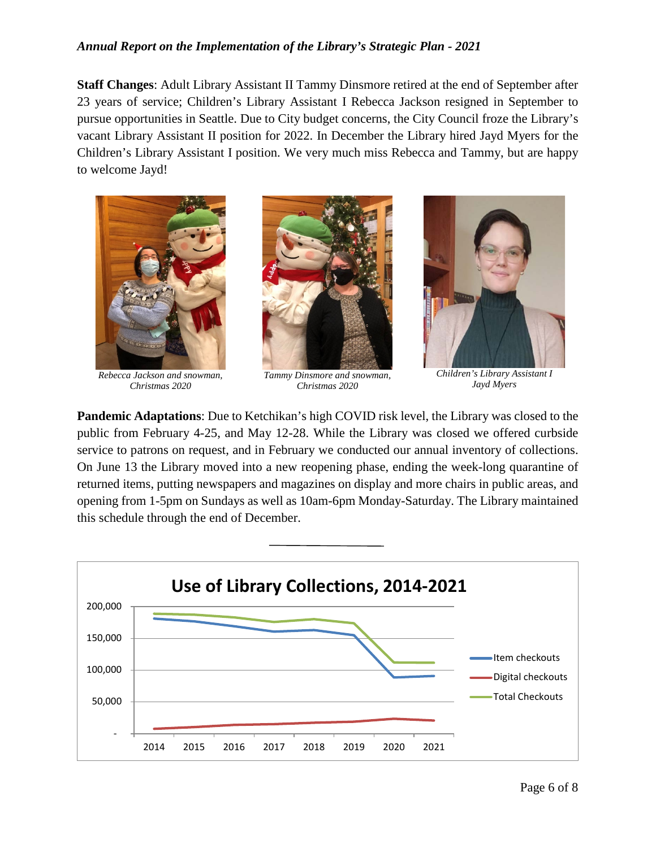**Staff Changes**: Adult Library Assistant II Tammy Dinsmore retired at the end of September after 23 years of service; Children's Library Assistant I Rebecca Jackson resigned in September to pursue opportunities in Seattle. Due to City budget concerns, the City Council froze the Library's vacant Library Assistant II position for 2022. In December the Library hired Jayd Myers for the Children's Library Assistant I position. We very much miss Rebecca and Tammy, but are happy to welcome Jayd!



*Rebecca Jackson and snowman, Christmas 2020*







*Children's Library Assistant I Jayd Myers*

**Pandemic Adaptations**: Due to Ketchikan's high COVID risk level, the Library was closed to the public from February 4-25, and May 12-28. While the Library was closed we offered curbside service to patrons on request, and in February we conducted our annual inventory of collections. On June 13 the Library moved into a new reopening phase, ending the week-long quarantine of returned items, putting newspapers and magazines on display and more chairs in public areas, and opening from 1-5pm on Sundays as well as 10am-6pm Monday-Saturday. The Library maintained this schedule through the end of December.

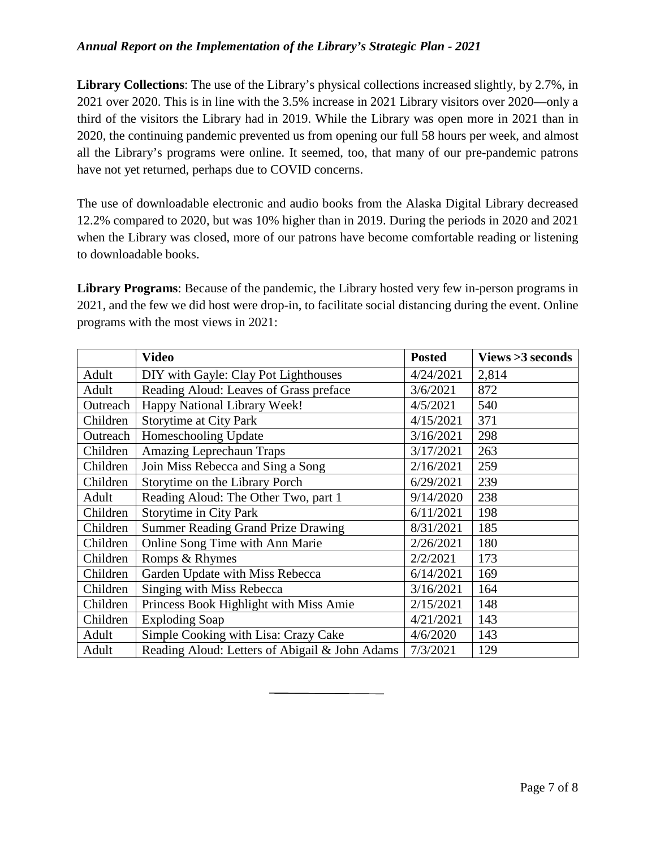**Library Collections**: The use of the Library's physical collections increased slightly, by 2.7%, in 2021 over 2020. This is in line with the 3.5% increase in 2021 Library visitors over 2020—only a third of the visitors the Library had in 2019. While the Library was open more in 2021 than in 2020, the continuing pandemic prevented us from opening our full 58 hours per week, and almost all the Library's programs were online. It seemed, too, that many of our pre-pandemic patrons have not yet returned, perhaps due to COVID concerns.

The use of downloadable electronic and audio books from the Alaska Digital Library decreased 12.2% compared to 2020, but was 10% higher than in 2019. During the periods in 2020 and 2021 when the Library was closed, more of our patrons have become comfortable reading or listening to downloadable books.

**Library Programs**: Because of the pandemic, the Library hosted very few in-person programs in 2021, and the few we did host were drop-in, to facilitate social distancing during the event. Online programs with the most views in 2021:

|          | <b>Video</b>                                   | <b>Posted</b> | Views > 3 seconds |
|----------|------------------------------------------------|---------------|-------------------|
| Adult    | DIY with Gayle: Clay Pot Lighthouses           | 4/24/2021     | 2,814             |
| Adult    | Reading Aloud: Leaves of Grass preface         | 3/6/2021      | 872               |
| Outreach | Happy National Library Week!                   | 4/5/2021      | 540               |
| Children | <b>Storytime at City Park</b>                  | 4/15/2021     | 371               |
| Outreach | Homeschooling Update                           | 3/16/2021     | 298               |
| Children | <b>Amazing Leprechaun Traps</b>                | 3/17/2021     | 263               |
| Children | Join Miss Rebecca and Sing a Song              | 2/16/2021     | 259               |
| Children | Storytime on the Library Porch                 | 6/29/2021     | 239               |
| Adult    | Reading Aloud: The Other Two, part 1           | 9/14/2020     | 238               |
| Children | <b>Storytime in City Park</b>                  | 6/11/2021     | 198               |
| Children | <b>Summer Reading Grand Prize Drawing</b>      | 8/31/2021     | 185               |
| Children | Online Song Time with Ann Marie                | 2/26/2021     | 180               |
| Children | Romps & Rhymes                                 | 2/2/2021      | 173               |
| Children | Garden Update with Miss Rebecca                | 6/14/2021     | 169               |
| Children | Singing with Miss Rebecca                      | 3/16/2021     | 164               |
| Children | Princess Book Highlight with Miss Amie         | 2/15/2021     | 148               |
| Children | <b>Exploding Soap</b>                          | 4/21/2021     | 143               |
| Adult    | Simple Cooking with Lisa: Crazy Cake           | 4/6/2020      | 143               |
| Adult    | Reading Aloud: Letters of Abigail & John Adams | 7/3/2021      | 129               |